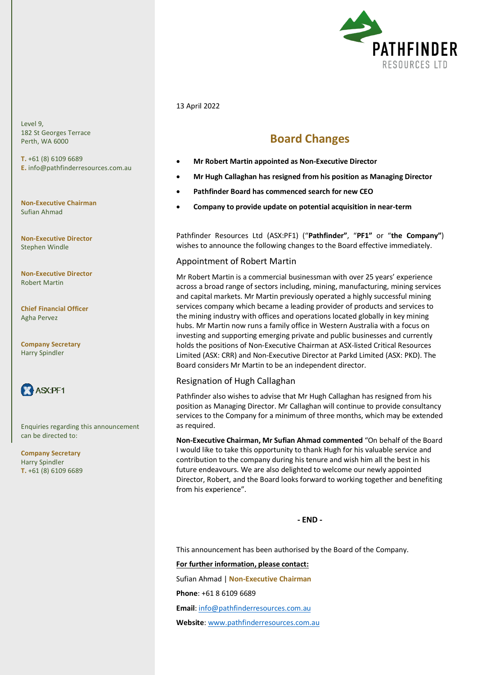

### 13 April 2022

# **Board Changes**

- **Mr Robert Martin appointed as Non-Executive Director**
- **Mr Hugh Callaghan has resigned from his position as Managing Director**
- **Pathfinder Board has commenced search for new CEO**
- **Company to provide update on potential acquisition in near-term**

Pathfinder Resources Ltd (ASX:PF1) ("**Pathfinder"**, "**PF1"** or "**the Company"**) wishes to announce the following changes to the Board effective immediately.

### Appointment of Robert Martin

Mr Robert Martin is a commercial businessman with over 25 years' experience across a broad range of sectors including, mining, manufacturing, mining services and capital markets. Mr Martin previously operated a highly successful mining services company which became a leading provider of products and services to the mining industry with offices and operations located globally in key mining hubs. Mr Martin now runs a family office in Western Australia with a focus on investing and supporting emerging private and public businesses and currently holds the positions of Non-Executive Chairman at ASX-listed Critical Resources Limited (ASX: CRR) and Non-Executive Director at Parkd Limited (ASX: PKD). The Board considers Mr Martin to be an independent director.

## Resignation of Hugh Callaghan

Pathfinder also wishes to advise that Mr Hugh Callaghan has resigned from his position as Managing Director. Mr Callaghan will continue to provide consultancy services to the Company for a minimum of three months, which may be extended as required.

**Non-Executive Chairman, Mr Sufian Ahmad commented** "On behalf of the Board I would like to take this opportunity to thank Hugh for his valuable service and contribution to the company during his tenure and wish him all the best in his future endeavours. We are also delighted to welcome our newly appointed Director, Robert, and the Board looks forward to working together and benefiting from his experience".

**- END -**

This announcement has been authorised by the Board of the Company.

#### **For further information, please contact:**

Sufian Ahmad | **Non-Executive Chairman**

**Phone**: +61 8 6109 6689

**Email**[: info@pathfinderresources.com.au](mailto:info@pathfinderresources.com.au)

**Website**: [www.pathfinderresources.com.au](http://www.pathfinderresources.com.au/)

Level 9, 182 St Georges Terrace Perth, WA 6000

**T.** +61 (8) 6109 6689 **E.** info@pathfinderresources.com.au

**Non-Executive Chairman** Sufian Ahmad

**Non-Executive Director** Stephen Windle

**Non-Executive Director** Robert Martin

**Chief Financial Officer** Agha Pervez

**Company Secretary** Harry Spindler



Enquiries regarding this announcement can be directed to:

**Company Secretary** Harry Spindler **T.** +61 (8) 6109 6689